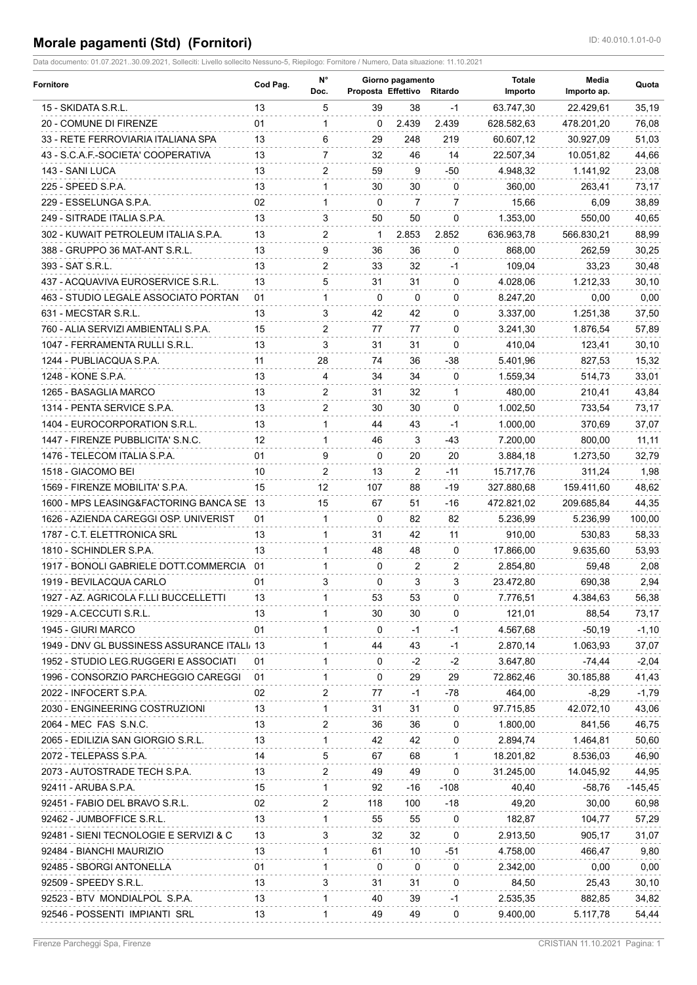## **Morale pagamenti (Std) (Fornitori) ID: 40.010.1.01-0-0**

Data documento: 01.07.2021..30.09.2021, Solleciti: Livello sollecito Nessuno-5, Riepilogo: Fornitore / Numero, Data situazione: 11.10.2021

| <b>Fornitore</b>                            | Cod Pag. | N°<br>Doc.     | Proposta Effettivo Ritardo | Giorno pagamento |                | <b>Totale</b><br>Importo | Media<br>Importo ap. | Quota     |
|---------------------------------------------|----------|----------------|----------------------------|------------------|----------------|--------------------------|----------------------|-----------|
| 15 - SKIDATA S.R.L.                         | 13       | 5              | 39                         | 38               | $-1$           | 63.747,30                | 22.429,61            | 35,19     |
| 20 - COMUNE DI FIRENZE                      | 01       | 1              | $\Omega$                   | 2.439            | 2.439          | 628.582,63               | 478.201,20           | 76,08     |
| 33 - RETE FERROVIARIA ITALIANA SPA          | 13       | 6              | 29                         | 248              | 219            | 60.607.12                | 30.927,09            | 51,03     |
| 43 - S.C.A.F.-SOCIETA' COOPERATIVA          | 13       | 7              | 32                         | 46               | 14             | 22.507,34                | 10.051,82            | 44,66     |
| 143 - SANI LUCA                             | 13       | $\overline{2}$ | 59                         | 9                | -50            | 4.948,32                 | 1.141,92             | 23,08     |
| 225 - SPEED S.P.A.                          | 13       | $\mathbf{1}$   | 30                         | 30               | 0              | 360,00                   | 263,41               | 73,17     |
| 229 - ESSELUNGA S.P.A.                      | 02       | 1              | $\Omega$                   | 7                | $\overline{7}$ | 15,66                    | 6,09                 | 38,89     |
| 249 - SITRADE ITALIA S.P.A.                 | 13       | 3              | 50                         | 50               | $\mathbf{0}$   | 1.353,00                 | 550.00               | 40,65     |
| 302 - KUWAIT PETROLEUM ITALIA S.P.A.        | 13       | $\overline{2}$ | 1                          | 2.853            | 2.852          | 636.963,78               | 566.830,21           | 88,99     |
| 388 - GRUPPO 36 MAT-ANT S.R.L.              | 13       | 9              | 36                         | 36               | 0              | 868,00                   | 262,59               | 30,25     |
| 393 - SAT S.R.L.                            | 13       | $\overline{2}$ | 33                         | 32               | -1             | 109,04                   | 33,23                | 30,48     |
| 437 - ACQUAVIVA EUROSERVICE S.R.L.          | 13       | 5              | 31                         | 31               | $\mathbf{0}$   | 4.028,06                 | 1.212,33             | 30, 10    |
| 463 - STUDIO LEGALE ASSOCIATO PORTAN        | 01       | $\mathbf{1}$   | $\mathbf{0}$               | $\mathbf{0}$     | $\mathbf{0}$   | 8.247,20                 | 0,00                 | 0,00      |
| 631 - MECSTAR S.R.L.                        | 13       | 3              | 42                         | 42               | 0              | 3.337,00                 | 1.251,38             | 37,50     |
| 760 - ALIA SERVIZI AMBIENTALI S.P.A.        | 15       | $\overline{2}$ | 77                         | 77               | 0              | 3.241,30                 | 1.876,54             | 57,89     |
| 1047 - FERRAMENTA RULLI S.R.L.              | 13       | 3              | 31                         | 31               | $\Omega$       | 410.04                   | 123,41               | 30, 10    |
| 1244 - PUBLIACQUA S.P.A.                    | 11       | 28             | 74                         | 36               | -38            | 5.401,96                 | 827,53               | 15,32     |
| 1248 - KONE S.P.A.                          | 13       | 4              | 34                         | 34               | 0              | 1.559,34                 | 514,73               | 33,01     |
| 1265 - BASAGLIA MARCO                       | 13       | $\overline{2}$ | 31                         | 32               | $\mathbf{1}$   | 480,00                   | 210,41               | 43,84     |
| 1314 - PENTA SERVICE S.P.A.                 | 13       | $\overline{2}$ | 30                         | 30               | $\mathbf{0}$   | 1.002,50                 | 733,54               | 73,17     |
| 1404 - EUROCORPORATION S.R.L.               | 13       | $\mathbf{1}$   | 44                         | 43               | $-1$           | 1.000,00                 | 370,69               | 37,07     |
| 1447 - FIRENZE PUBBLICITA' S.N.C.           | 12       | 1              | 46                         | 3                | -43            | 7.200,00                 | 800,00               | 11, 11    |
| 1476 - TELECOM ITALIA S.P.A.                | 01       | 9              | 0                          | 20               | 20             | 3.884,18                 | 1.273,50             | 32,79     |
| 1518 - GIACOMO BEI                          | 10       | 2              | 13                         | $\overline{2}$   | -11            | 15.717,76                | 311,24               | 1,98      |
| 1569 - FIRENZE MOBILITA' S.P.A.             | 15       | 12             | 107                        | 88               | $-19$          | 327.880,68               | 159.411,60           | 48,62     |
|                                             |          |                |                            |                  |                |                          |                      |           |
| 1600 - MPS LEASING&FACTORING BANCA SE 13    |          | 15             | 67                         | 51               | -16            | 472.821,02               | 209.685,84           | 44,35     |
| 1626 - AZIENDA CAREGGI OSP. UNIVERIST       | 01       | $\mathbf{1}$   | 0                          | 82               | 82             | 5.236,99                 | 5.236,99             | 100,00    |
| 1787 - C.T. ELETTRONICA SRL                 | 13       | $\mathbf{1}$   | 31                         | 42               | 11             | 910,00                   | 530,83               | 58,33     |
| 1810 - SCHINDLER S.P.A.                     | 13       | $\mathbf{1}$   | 48                         | 48               | $\mathbf{0}$   | 17.866,00                | 9.635,60             | 53,93     |
| 1917 - BONOLI GABRIELE DOTT COMMERCIA       | -01      | $\mathbf{1}$   | 0                          | 2                | 2              | 2.854,80                 | 59,48                | 2,08      |
| 1919 - BEVILACQUA CARLO                     | 01       | 3              | 0                          | 3                | 3              | 23.472,80                | 690,38               | 2,94      |
| 1927 - AZ. AGRICOLA F.LLI BUCCELLETTI       | 13       | 1              | 53                         | 53               | 0              | 7.776,51                 | 4.384,63             | 56,38     |
| 1929 - A.CECCUTI S.R.L.                     | 13       | 1              | 30                         | 30               | 0              | 121,01                   | 88,54                | 73,17     |
| 1945 - GIURI MARCO                          | 01       | $\mathbf 1$    | 0                          | -1               | -1             | 4.567,68                 | $-50,19$             | $-1,10$   |
| 1949 - DNV GL BUSSINESS ASSURANCE ITALI, 13 |          | 1              | 44                         | 43               | $-1$           | 2.870,14                 | 1.063,93             | 37,07     |
| 1952 - STUDIO LEG.RUGGERI E ASSOCIATI       | 01       | 1              | 0                          | $-2$             | $-2$           | 3.647,80                 | $-74,44$             | $-2,04$   |
| 1996 - CONSORZIO PARCHEGGIO CAREGGI         | 01       | $\mathbf{1}$   | 0                          | 29               | 29             | 72.862,46                | 30.185,88            | 41,43     |
| 2022 - INFOCERT S.P.A.                      | 02       | 2              | 77                         | -1               | -78            | 464,00                   | $-8,29$              | $-1,79$   |
| 2030 - ENGINEERING COSTRUZIONI              | 13       | 1              | 31                         | 31               | 0              | 97.715,85                | 42.072,10            | 43,06     |
| 2064 - MEC FAS S.N.C.                       | 13       | 2              | 36                         | 36               | 0              | 1.800,00                 | 841,56               | 46,75     |
| 2065 - EDILIZIA SAN GIORGIO S.R.L.          | 13       | 1              | 42                         | 42               | 0              | 2.894,74                 | 1.464,81             | 50,60     |
| 2072 - TELEPASS S.P.A.                      | 14       | 5              | 67                         | 68               | -1             | 18.201,82                | 8.536,03             | 46,90     |
| 2073 - AUTOSTRADE TECH S.P.A.               | 13       | 2              | 49                         | 49               | 0              | 31.245,00                | 14.045,92            | 44,95     |
| 92411 - ARUBA S.P.A.                        | 15       | $\mathbf 1$    | 92                         | -16              | -108           | 40,40                    | $-58,76$             | $-145,45$ |
| 92451 - FABIO DEL BRAVO S.R.L.              | 02       | 2              | 118                        | 100              | -18            | 49,20                    | 30,00                | 60,98     |
| 92462 - JUMBOFFICE S.R.L.                   | 13       | 1              | 55                         | 55               | 0              | 182,87                   | 104,77               | 57,29     |
| 92481 - SIENI TECNOLOGIE E SERVIZI & C      | 13       | 3              | 32                         | 32               | 0              | 2.913,50                 | 905,17               | 31,07     |
| 92484 - BIANCHI MAURIZIO                    | 13       | $\mathbf 1$    | 61                         | 10               | -51            | 4.758,00                 | 466,47               | 9,80      |
| 92485 - SBORGI ANTONELLA                    | 01       | $\mathbf{1}$   | 0                          | 0                | 0              | 2.342,00                 | 0,00                 | 0,00      |
| 92509 - SPEEDY S.R.L.                       | 13       | 3              | 31                         | 31               | 0              | 84,50                    | 25,43                | 30, 10    |
| 92523 - BTV MONDIALPOL S.P.A.               | 13       | 1              | 40                         | 39               | -1             | 2.535,35                 | 882,85               | 34,82     |
| 92546 - POSSENTI IMPIANTI SRL               | 13       | 1              | 49                         | 49               | 0              | 9.400,00                 | 5.117,78             | 54,44     |